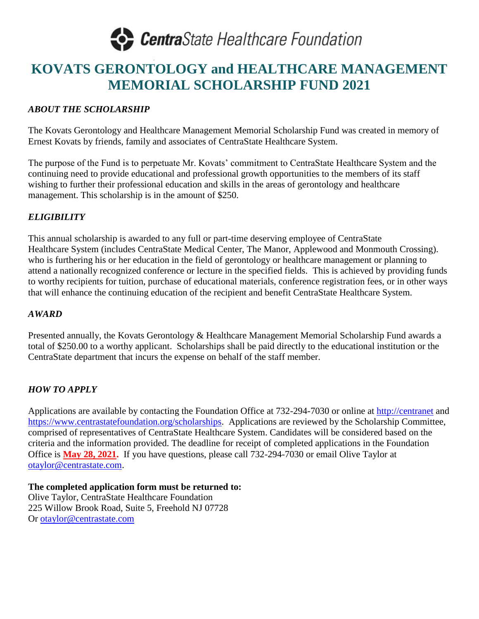

### **KOVATS GERONTOLOGY and HEALTHCARE MANAGEMENT MEMORIAL SCHOLARSHIP FUND 2021**

#### *ABOUT THE SCHOLARSHIP*

The Kovats Gerontology and Healthcare Management Memorial Scholarship Fund was created in memory of Ernest Kovats by friends, family and associates of CentraState Healthcare System.

The purpose of the Fund is to perpetuate Mr. Kovats' commitment to CentraState Healthcare System and the continuing need to provide educational and professional growth opportunities to the members of its staff wishing to further their professional education and skills in the areas of gerontology and healthcare management. This scholarship is in the amount of \$250.

#### *ELIGIBILITY*

This annual scholarship is awarded to any full or part-time deserving employee of CentraState Healthcare System (includes CentraState Medical Center, The Manor, Applewood and Monmouth Crossing). who is furthering his or her education in the field of gerontology or healthcare management or planning to attend a nationally recognized conference or lecture in the specified fields. This is achieved by providing funds to worthy recipients for tuition, purchase of educational materials, conference registration fees, or in other ways that will enhance the continuing education of the recipient and benefit CentraState Healthcare System.

#### *AWARD*

Presented annually, the Kovats Gerontology & Healthcare Management Memorial Scholarship Fund awards a total of \$250.00 to a worthy applicant. Scholarships shall be paid directly to the educational institution or the CentraState department that incurs the expense on behalf of the staff member.

#### *HOW TO APPLY*

Applications are available by contacting the Foundation Office at 732-294-7030 or online at [http://centranet](http://centranet/) and [https://www.centrastatefoundation.org/scholarships.](https://www.centrastatefoundation.org/scholarships) Applications are reviewed by the Scholarship Committee, comprised of representatives of CentraState Healthcare System. Candidates will be considered based on the criteria and the information provided. The deadline for receipt of completed applications in the Foundation Office is **May 28, 2021.** If you have questions, please call 732-294-7030 or email Olive Taylor at [otaylor@centrastate.com.](mailto:otaylor@centrastate.com)

**The completed application form must be returned to:**  Olive Taylor, CentraState Healthcare Foundation 225 Willow Brook Road, Suite 5, Freehold NJ 07728 Or [otaylor@centrastate.com](mailto:otaylor@centrastate.com)